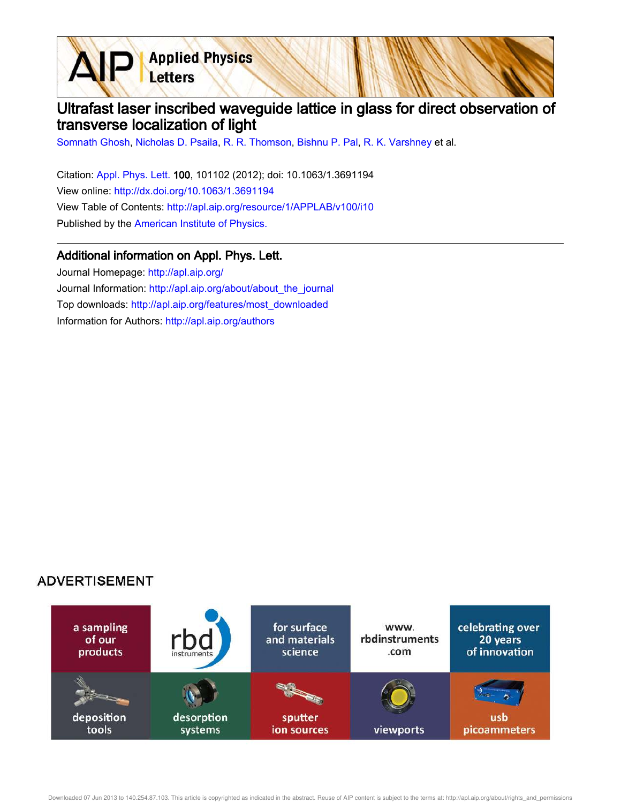**Applied Physics** Letters

## Ultrafast laser inscribed waveguide lattice in glass for direct observation of transverse localization of light

Somnath Ghosh, Nicholas D. Psaila, R. R. Thomson, Bishnu P. Pal, R. K. Varshney et al.

Citation: Appl. Phys. Lett. 100, 101102 (2012); doi: 10.1063/1.3691194 View online: http://dx.doi.org/10.1063/1.3691194 View Table of Contents: http://apl.aip.org/resource/1/APPLAB/v100/i10 Published by the American Institute of Physics.

## Additional information on Appl. Phys. Lett.

Journal Homepage: http://apl.aip.org/ Journal Information: http://apl.aip.org/about/about\_the\_journal Top downloads: http://apl.aip.org/features/most\_downloaded Information for Authors: http://apl.aip.org/authors

## **ADVERTISEMENT**



Downloaded 07 Jun 2013 to 140.254.87.103. This article is copyrighted as indicated in the abstract. Reuse of AIP content is subject to the terms at: http://apl.aip.org/about/rights\_and\_permissions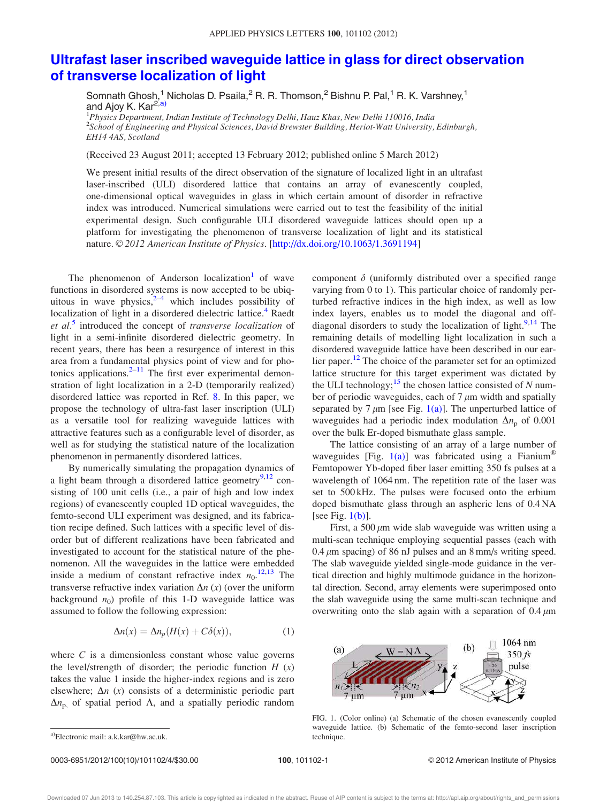## Ultrafast laser inscribed waveguide lattice in glass for direct observation of transverse localization of light

Somnath Ghosh,<sup>1</sup> Nicholas D. Psaila,<sup>2</sup> R. R. Thomson,<sup>2</sup> Bishnu P. Pal,<sup>1</sup> R. K. Varshney,<sup>1</sup> and Ajoy K. Kar<sup>2,a)</sup>

<sup>1</sup>Physics Department, Indian Institute of Technology Delhi, Hauz Khas, New Delhi 110016, India <sup>2</sup>School of Engineering and Physical Sciences, David Brewster Building, Heriot-Watt University, Edinburgh, EH14 4AS, Scotland

(Received 23 August 2011; accepted 13 February 2012; published online 5 March 2012)

We present initial results of the direct observation of the signature of localized light in an ultrafast laser-inscribed (ULI) disordered lattice that contains an array of evanescently coupled, one-dimensional optical waveguides in glass in which certain amount of disorder in refractive index was introduced. Numerical simulations were carried out to test the feasibility of the initial experimental design. Such configurable ULI disordered waveguide lattices should open up a platform for investigating the phenomenon of transverse localization of light and its statistical nature. © 2012 American Institute of Physics. [http://dx.doi.org/10.1063/1.3691194]

The phenomenon of Anderson localization<sup>1</sup> of wave functions in disordered systems is now accepted to be ubiquitous in wave physics, $2-4$  which includes possibility of localization of light in a disordered dielectric lattice.<sup>4</sup> Raedt et al.<sup>5</sup> introduced the concept of transverse localization of light in a semi-infinite disordered dielectric geometry. In recent years, there has been a resurgence of interest in this area from a fundamental physics point of view and for photonics applications. $2^{-11}$  The first ever experimental demonstration of light localization in a 2-D (temporarily realized) disordered lattice was reported in Ref. 8. In this paper, we propose the technology of ultra-fast laser inscription (ULI) as a versatile tool for realizing waveguide lattices with attractive features such as a configurable level of disorder, as well as for studying the statistical nature of the localization phenomenon in permanently disordered lattices.

By numerically simulating the propagation dynamics of a light beam through a disordered lattice geometry<sup>9,12</sup> consisting of 100 unit cells (i.e., a pair of high and low index regions) of evanescently coupled 1D optical waveguides, the femto-second ULI experiment was designed, and its fabrication recipe defined. Such lattices with a specific level of disorder but of different realizations have been fabricated and investigated to account for the statistical nature of the phenomenon. All the waveguides in the lattice were embedded inside a medium of constant refractive index  $n_0$ .<sup>12,13</sup> The transverse refractive index variation  $\Delta n$  (x) (over the uniform background  $n_0$ ) profile of this 1-D waveguide lattice was assumed to follow the following expression:

$$
\Delta n(x) = \Delta n_p(H(x) + C\delta(x)),\tag{1}
$$

where  $C$  is a dimensionless constant whose value governs the level/strength of disorder; the periodic function  $H(x)$ takes the value 1 inside the higher-index regions and is zero elsewhere;  $\Delta n$  (x) consists of a deterministic periodic part  $\Delta n_{\rm p}$ , of spatial period  $\Lambda$ , and a spatially periodic random

0003-6951/2012/100(10)/101102/4/\$30.00 100, 101102-1 © 2012 American Institute of Physics

component  $\delta$  (uniformly distributed over a specified range varying from 0 to 1). This particular choice of randomly perturbed refractive indices in the high index, as well as low index layers, enables us to model the diagonal and offdiagonal disorders to study the localization of light. $9,14$  The remaining details of modelling light localization in such a disordered waveguide lattice have been described in our earlier paper.<sup>12</sup> The choice of the parameter set for an optimized lattice structure for this target experiment was dictated by the ULI technology;<sup>15</sup> the chosen lattice consisted of  $N$  number of periodic waveguides, each of  $7 \mu m$  width and spatially separated by 7  $\mu$ m [see Fig. 1(a)]. The unperturbed lattice of waveguides had a periodic index modulation  $\Delta n_p$  of 0.001 over the bulk Er-doped bismuthate glass sample.

The lattice consisting of an array of a large number of waveguides [Fig. 1(a)] was fabricated using a Fianium® Femtopower Yb-doped fiber laser emitting 350 fs pulses at a wavelength of 1064 nm. The repetition rate of the laser was set to 500 kHz. The pulses were focused onto the erbium doped bismuthate glass through an aspheric lens of 0.4 NA [see Fig.  $1(b)$ ].

First, a 500  $\mu$ m wide slab waveguide was written using a multi-scan technique employing sequential passes (each with  $0.4 \mu$ m spacing) of 86 nJ pulses and an 8 mm/s writing speed. The slab waveguide yielded single-mode guidance in the vertical direction and highly multimode guidance in the horizontal direction. Second, array elements were superimposed onto the slab waveguide using the same multi-scan technique and overwriting onto the slab again with a separation of  $0.4 \mu m$ 



waveguide lattice. (b) Schematic of the femto-second laser inscription

FIG. 1. (Color online) (a) Schematic of the chosen evanescently coupled

a)Electronic mail: a.k.kar@hw.ac.uk. technique.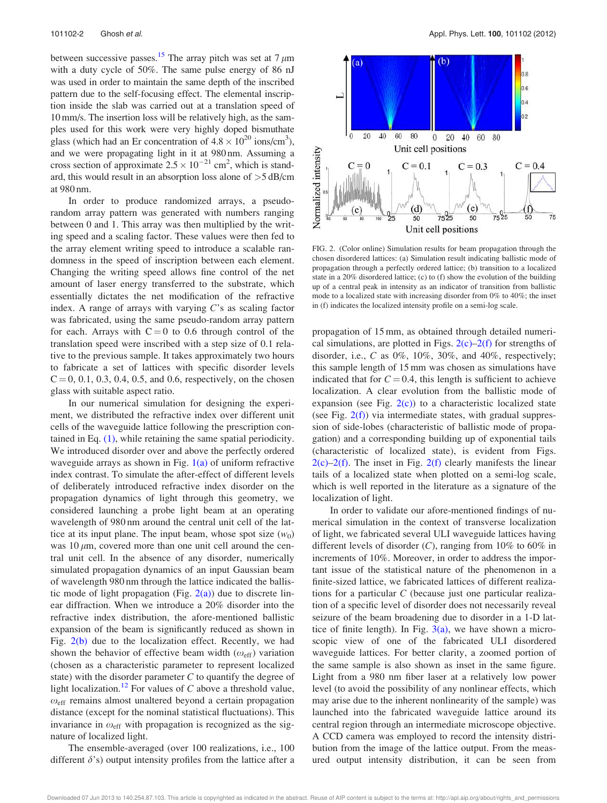between successive passes.<sup>15</sup> The array pitch was set at  $7 \mu m$ with a duty cycle of 50%. The same pulse energy of 86 nJ was used in order to maintain the same depth of the inscribed pattern due to the self-focusing effect. The elemental inscription inside the slab was carried out at a translation speed of 10 mm/s. The insertion loss will be relatively high, as the samples used for this work were very highly doped bismuthate glass (which had an Er concentration of  $4.8 \times 10^{20}$  ions/cm<sup>3</sup>), and we were propagating light in it at 980 nm. Assuming a cross section of approximate  $2.5 \times 10^{-21}$  cm<sup>2</sup>, which is standard, this would result in an absorption loss alone of  $>5$  dB/cm at 980 nm.

In order to produce randomized arrays, a pseudorandom array pattern was generated with numbers ranging between 0 and 1. This array was then multiplied by the writing speed and a scaling factor. These values were then fed to the array element writing speed to introduce a scalable randomness in the speed of inscription between each element. Changing the writing speed allows fine control of the net amount of laser energy transferred to the substrate, which essentially dictates the net modification of the refractive index. A range of arrays with varying  $C$ 's as scaling factor was fabricated, using the same pseudo-random array pattern for each. Arrays with  $C = 0$  to 0.6 through control of the translation speed were inscribed with a step size of 0.1 relative to the previous sample. It takes approximately two hours to fabricate a set of lattices with specific disorder levels  $C = 0, 0.1, 0.3, 0.4, 0.5,$  and 0.6, respectively, on the chosen glass with suitable aspect ratio.

In our numerical simulation for designing the experiment, we distributed the refractive index over different unit cells of the waveguide lattice following the prescription contained in Eq. (1), while retaining the same spatial periodicity. We introduced disorder over and above the perfectly ordered waveguide arrays as shown in Fig.  $1(a)$  of uniform refractive index contrast. To simulate the after-effect of different levels of deliberately introduced refractive index disorder on the propagation dynamics of light through this geometry, we considered launching a probe light beam at an operating wavelength of 980 nm around the central unit cell of the lattice at its input plane. The input beam, whose spot size  $(w_0)$ was  $10 \mu m$ , covered more than one unit cell around the central unit cell. In the absence of any disorder, numerically simulated propagation dynamics of an input Gaussian beam of wavelength 980 nm through the lattice indicated the ballistic mode of light propagation (Fig.  $2(a)$ ) due to discrete linear diffraction. When we introduce a 20% disorder into the refractive index distribution, the afore-mentioned ballistic expansion of the beam is significantly reduced as shown in Fig.  $2(b)$  due to the localization effect. Recently, we had shown the behavior of effective beam width  $(\omega_{\text{eff}})$  variation (chosen as a characteristic parameter to represent localized state) with the disorder parameter  $C$  to quantify the degree of light localization.<sup>12</sup> For values of  $C$  above a threshold value,  $\omega_{\text{eff}}$  remains almost unaltered beyond a certain propagation distance (except for the nominal statistical fluctuations). This invariance in  $\omega_{\text{eff}}$  with propagation is recognized as the signature of localized light.

The ensemble-averaged (over 100 realizations, i.e., 100 different  $\delta$ 's) output intensity profiles from the lattice after a



FIG. 2. (Color online) Simulation results for beam propagation through the chosen disordered lattices: (a) Simulation result indicating ballistic mode of propagation through a perfectly ordered lattice; (b) transition to a localized state in a 20% disordered lattice; (c) to (f) show the evolution of the building up of a central peak in intensity as an indicator of transition from ballistic mode to a localized state with increasing disorder from 0% to 40%; the inset in (f) indicates the localized intensity profile on a semi-log scale.

propagation of 15 mm, as obtained through detailed numerical simulations, are plotted in Figs.  $2(c)$ –2(f) for strengths of disorder, i.e.,  $C$  as  $0\%$ ,  $10\%$ ,  $30\%$ , and  $40\%$ , respectively; this sample length of 15 mm was chosen as simulations have indicated that for  $C = 0.4$ , this length is sufficient to achieve localization. A clear evolution from the ballistic mode of expansion (see Fig.  $2(c)$ ) to a characteristic localized state (see Fig.  $2(f)$ ) via intermediate states, with gradual suppression of side-lobes (characteristic of ballistic mode of propagation) and a corresponding building up of exponential tails (characteristic of localized state), is evident from Figs.  $2(c)$ –2(f). The inset in Fig. 2(f) clearly manifests the linear tails of a localized state when plotted on a semi-log scale, which is well reported in the literature as a signature of the localization of light.

In order to validate our afore-mentioned findings of numerical simulation in the context of transverse localization of light, we fabricated several ULI waveguide lattices having different levels of disorder  $(C)$ , ranging from 10% to 60% in increments of 10%. Moreover, in order to address the important issue of the statistical nature of the phenomenon in a finite-sized lattice, we fabricated lattices of different realizations for a particular C (because just one particular realization of a specific level of disorder does not necessarily reveal seizure of the beam broadening due to disorder in a 1-D lattice of finite length). In Fig.  $3(a)$ , we have shown a microscopic view of one of the fabricated ULI disordered waveguide lattices. For better clarity, a zoomed portion of the same sample is also shown as inset in the same figure. Light from a 980 nm fiber laser at a relatively low power level (to avoid the possibility of any nonlinear effects, which may arise due to the inherent nonlinearity of the sample) was launched into the fabricated waveguide lattice around its central region through an intermediate microscope objective. A CCD camera was employed to record the intensity distribution from the image of the lattice output. From the measured output intensity distribution, it can be seen from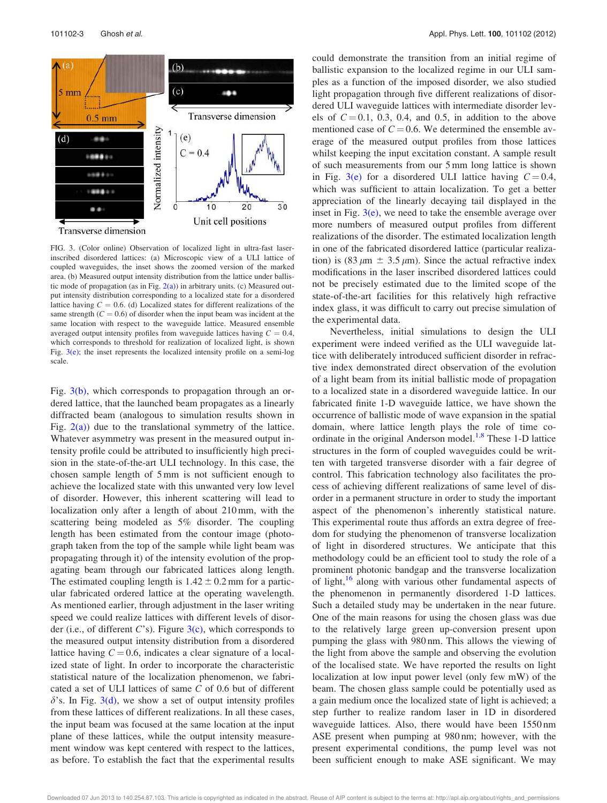

FIG. 3. (Color online) Observation of localized light in ultra-fast laserinscribed disordered lattices: (a) Microscopic view of a ULI lattice of coupled waveguides, the inset shows the zoomed version of the marked area. (b) Measured output intensity distribution from the lattice under ballistic mode of propagation (as in Fig.  $2(a)$ ) in arbitrary units. (c) Measured output intensity distribution corresponding to a localized state for a disordered lattice having  $C = 0.6$ . (d) Localized states for different realizations of the same strength  $(C = 0.6)$  of disorder when the input beam was incident at the same location with respect to the waveguide lattice. Measured ensemble averaged output intensity profiles from waveguide lattices having  $C = 0.4$ , which corresponds to threshold for realization of localized light, is shown Fig.  $3(e)$ ; the inset represents the localized intensity profile on a semi-log scale.

Fig. 3(b), which corresponds to propagation through an ordered lattice, that the launched beam propagates as a linearly diffracted beam (analogous to simulation results shown in Fig.  $2(a)$ ) due to the translational symmetry of the lattice. Whatever asymmetry was present in the measured output intensity profile could be attributed to insufficiently high precision in the state-of-the-art ULI technology. In this case, the chosen sample length of 5 mm is not sufficient enough to achieve the localized state with this unwanted very low level of disorder. However, this inherent scattering will lead to localization only after a length of about 210 mm, with the scattering being modeled as 5% disorder. The coupling length has been estimated from the contour image (photograph taken from the top of the sample while light beam was propagating through it) of the intensity evolution of the propagating beam through our fabricated lattices along length. The estimated coupling length is  $1.42 \pm 0.2$  mm for a particular fabricated ordered lattice at the operating wavelength. As mentioned earlier, through adjustment in the laser writing speed we could realize lattices with different levels of disorder (i.e., of different  $C$ 's). Figure  $3(c)$ , which corresponds to the measured output intensity distribution from a disordered lattice having  $C = 0.6$ , indicates a clear signature of a localized state of light. In order to incorporate the characteristic statistical nature of the localization phenomenon, we fabricated a set of ULI lattices of same C of 0.6 but of different  $\delta$ 's. In Fig. 3(d), we show a set of output intensity profiles from these lattices of different realizations. In all these cases, the input beam was focused at the same location at the input plane of these lattices, while the output intensity measurement window was kept centered with respect to the lattices, as before. To establish the fact that the experimental results could demonstrate the transition from an initial regime of ballistic expansion to the localized regime in our ULI samples as a function of the imposed disorder, we also studied light propagation through five different realizations of disordered ULI waveguide lattices with intermediate disorder levels of  $C = 0.1$ , 0.3, 0.4, and 0.5, in addition to the above mentioned case of  $C = 0.6$ . We determined the ensemble average of the measured output profiles from those lattices whilst keeping the input excitation constant. A sample result of such measurements from our 5 mm long lattice is shown in Fig. 3(e) for a disordered ULI lattice having  $C = 0.4$ , which was sufficient to attain localization. To get a better appreciation of the linearly decaying tail displayed in the inset in Fig.  $3(e)$ , we need to take the ensemble average over more numbers of measured output profiles from different realizations of the disorder. The estimated localization length in one of the fabricated disordered lattice (particular realization) is (83  $\mu$ m  $\pm$  3.5  $\mu$ m). Since the actual refractive index modifications in the laser inscribed disordered lattices could not be precisely estimated due to the limited scope of the state-of-the-art facilities for this relatively high refractive index glass, it was difficult to carry out precise simulation of the experimental data.

Nevertheless, initial simulations to design the ULI experiment were indeed verified as the ULI waveguide lattice with deliberately introduced sufficient disorder in refractive index demonstrated direct observation of the evolution of a light beam from its initial ballistic mode of propagation to a localized state in a disordered waveguide lattice. In our fabricated finite 1-D waveguide lattice, we have shown the occurrence of ballistic mode of wave expansion in the spatial domain, where lattice length plays the role of time coordinate in the original Anderson model.<sup>1,8</sup> These 1-D lattice structures in the form of coupled waveguides could be written with targeted transverse disorder with a fair degree of control. This fabrication technology also facilitates the process of achieving different realizations of same level of disorder in a permanent structure in order to study the important aspect of the phenomenon's inherently statistical nature. This experimental route thus affords an extra degree of freedom for studying the phenomenon of transverse localization of light in disordered structures. We anticipate that this methodology could be an efficient tool to study the role of a prominent photonic bandgap and the transverse localization of light,<sup>16</sup> along with various other fundamental aspects of the phenomenon in permanently disordered 1-D lattices. Such a detailed study may be undertaken in the near future. One of the main reasons for using the chosen glass was due to the relatively large green up-conversion present upon pumping the glass with 980 nm. This allows the viewing of the light from above the sample and observing the evolution of the localised state. We have reported the results on light localization at low input power level (only few mW) of the beam. The chosen glass sample could be potentially used as a gain medium once the localized state of light is achieved; a step further to realize random laser in 1D in disordered waveguide lattices. Also, there would have been 1550 nm ASE present when pumping at 980 nm; however, with the present experimental conditions, the pump level was not been sufficient enough to make ASE significant. We may